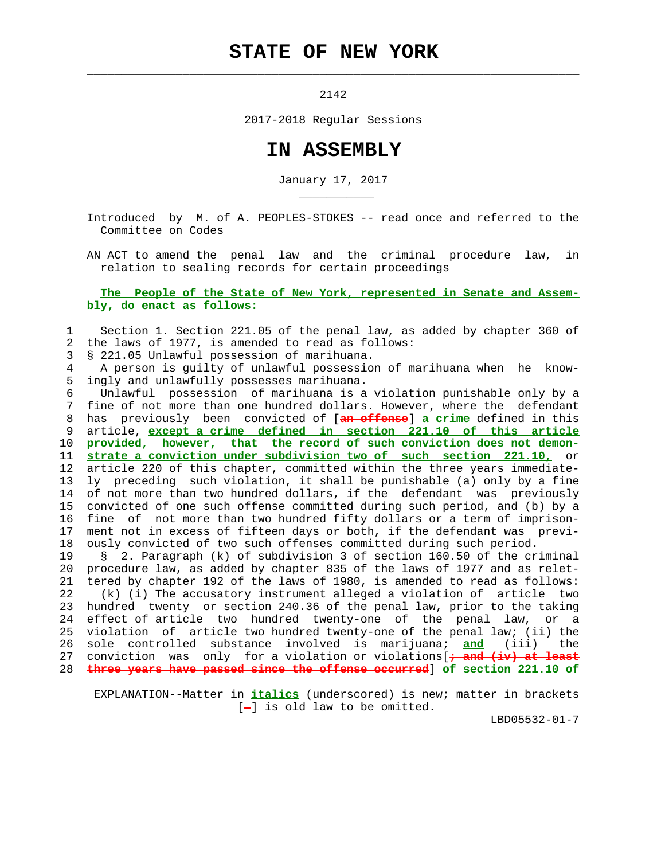## **STATE OF NEW YORK**

 $\mathcal{L}_\text{max} = \frac{1}{2} \sum_{i=1}^{n} \frac{1}{2} \sum_{i=1}^{n} \frac{1}{2} \sum_{i=1}^{n} \frac{1}{2} \sum_{i=1}^{n} \frac{1}{2} \sum_{i=1}^{n} \frac{1}{2} \sum_{i=1}^{n} \frac{1}{2} \sum_{i=1}^{n} \frac{1}{2} \sum_{i=1}^{n} \frac{1}{2} \sum_{i=1}^{n} \frac{1}{2} \sum_{i=1}^{n} \frac{1}{2} \sum_{i=1}^{n} \frac{1}{2} \sum_{i=1}^{n} \frac{1$ 

2142

2017-2018 Regular Sessions

## **IN ASSEMBLY**

January 17, 2017

 Introduced by M. of A. PEOPLES-STOKES -- read once and referred to the Committee on Codes

 AN ACT to amend the penal law and the criminal procedure law, in relation to sealing records for certain proceedings

## **The People of the State of New York, represented in Senate and Assem bly, do enact as follows:**

 1 Section 1. Section 221.05 of the penal law, as added by chapter 360 of 2 the laws of 1977, is amended to read as follows:

3 § 221.05 Unlawful possession of marihuana.

\_\_\_\_\_\_\_\_\_\_\_

 4 A person is guilty of unlawful possession of marihuana when he know- 5 ingly and unlawfully possesses marihuana.

 6 Unlawful possession of marihuana is a violation punishable only by a 7 fine of not more than one hundred dollars. However, where the defendant 8 has previously been convicted of [**an offense**] **a crime** defined in this 9 article, **except a crime defined in section 221.10 of this article** 10 **provided, however, that the record of such conviction does not demon-** 11 **strate a conviction under subdivision two of such section 221.10,** or 12 article 220 of this chapter, committed within the three years immediate- 13 ly preceding such violation, it shall be punishable (a) only by a fine 14 of not more than two hundred dollars, if the defendant was previously 15 convicted of one such offense committed during such period, and (b) by a 16 fine of not more than two hundred fifty dollars or a term of imprison- 17 ment not in excess of fifteen days or both, if the defendant was previ- 18 ously convicted of two such offenses committed during such period.

 19 § 2. Paragraph (k) of subdivision 3 of section 160.50 of the criminal 20 procedure law, as added by chapter 835 of the laws of 1977 and as relet- 21 tered by chapter 192 of the laws of 1980, is amended to read as follows: 22 (k) (i) The accusatory instrument alleged a violation of article two 23 hundred twenty or section 240.36 of the penal law, prior to the taking 24 effect of article two hundred twenty-one of the penal law, or a 25 violation of article two hundred twenty-one of the penal law; (ii) the 26 sole controlled substance involved is marijuana; **and** (iii) the 27 conviction was only for a violation or violations[**; and (iv) at least** 28 **three years have passed since the offense occurred**] **of section 221.10 of**

 EXPLANATION--Matter in **italics** (underscored) is new; matter in brackets  $[-]$  is old law to be omitted.

LBD05532-01-7